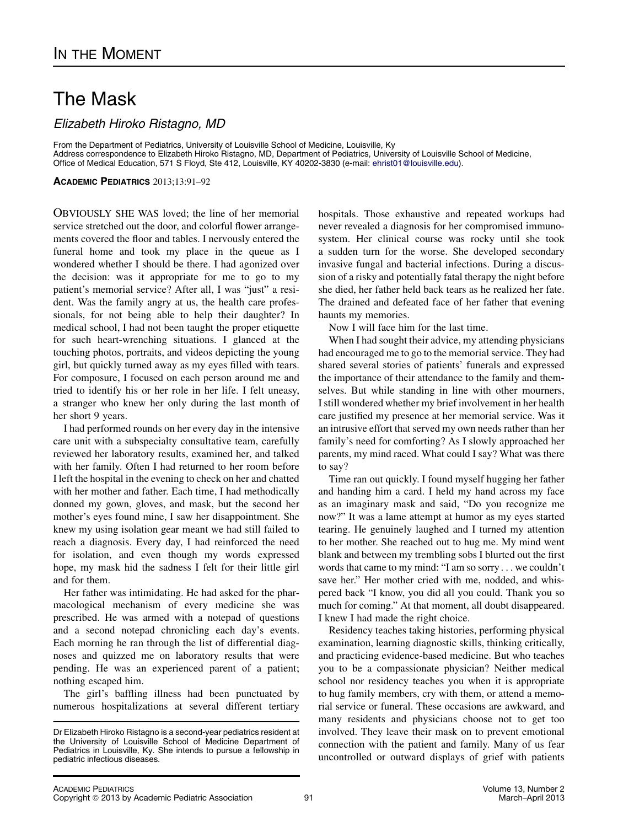## The Mask

Elizabeth Hiroko Ristagno, MD

From the Department of Pediatrics, University of Louisville School of Medicine, Louisville, Ky Address correspondence to Elizabeth Hiroko Ristagno, MD, Department of Pediatrics, University of Louisville School of Medicine, Office of Medical Education, 571 S Floyd, Ste 412, Louisville, KY 40202-3830 (e-mail: [ehrist01@louisville.edu](mailto:ehrist01@louisville.edu)).

ACADEMIC PEDIATRICS 2013;13:91–92

OBVIOUSLY SHE WAS loved; the line of her memorial service stretched out the door, and colorful flower arrangements covered the floor and tables. I nervously entered the funeral home and took my place in the queue as I wondered whether I should be there. I had agonized over the decision: was it appropriate for me to go to my patient's memorial service? After all, I was "just" a resident. Was the family angry at us, the health care professionals, for not being able to help their daughter? In medical school, I had not been taught the proper etiquette for such heart-wrenching situations. I glanced at the touching photos, portraits, and videos depicting the young girl, but quickly turned away as my eyes filled with tears. For composure, I focused on each person around me and tried to identify his or her role in her life. I felt uneasy, a stranger who knew her only during the last month of her short 9 years.

I had performed rounds on her every day in the intensive care unit with a subspecialty consultative team, carefully reviewed her laboratory results, examined her, and talked with her family. Often I had returned to her room before I left the hospital in the evening to check on her and chatted with her mother and father. Each time, I had methodically donned my gown, gloves, and mask, but the second her mother's eyes found mine, I saw her disappointment. She knew my using isolation gear meant we had still failed to reach a diagnosis. Every day, I had reinforced the need for isolation, and even though my words expressed hope, my mask hid the sadness I felt for their little girl and for them.

Her father was intimidating. He had asked for the pharmacological mechanism of every medicine she was prescribed. He was armed with a notepad of questions and a second notepad chronicling each day's events. Each morning he ran through the list of differential diagnoses and quizzed me on laboratory results that were pending. He was an experienced parent of a patient; nothing escaped him.

The girl's baffling illness had been punctuated by numerous hospitalizations at several different tertiary hospitals. Those exhaustive and repeated workups had never revealed a diagnosis for her compromised immunosystem. Her clinical course was rocky until she took a sudden turn for the worse. She developed secondary invasive fungal and bacterial infections. During a discussion of a risky and potentially fatal therapy the night before she died, her father held back tears as he realized her fate. The drained and defeated face of her father that evening haunts my memories.

Now I will face him for the last time.

When I had sought their advice, my attending physicians had encouraged me to go to the memorial service. They had shared several stories of patients' funerals and expressed the importance of their attendance to the family and themselves. But while standing in line with other mourners, I still wondered whether my brief involvement in her health care justified my presence at her memorial service. Was it an intrusive effort that served my own needs rather than her family's need for comforting? As I slowly approached her parents, my mind raced. What could I say? What was there to say?

Time ran out quickly. I found myself hugging her father and handing him a card. I held my hand across my face as an imaginary mask and said, "Do you recognize me now?" It was a lame attempt at humor as my eyes started tearing. He genuinely laughed and I turned my attention to her mother. She reached out to hug me. My mind went blank and between my trembling sobs I blurted out the first words that came to my mind: "I am so sorry . . . we couldn't save her." Her mother cried with me, nodded, and whispered back "I know, you did all you could. Thank you so much for coming." At that moment, all doubt disappeared. I knew I had made the right choice.

Residency teaches taking histories, performing physical examination, learning diagnostic skills, thinking critically, and practicing evidence-based medicine. But who teaches you to be a compassionate physician? Neither medical school nor residency teaches you when it is appropriate to hug family members, cry with them, or attend a memorial service or funeral. These occasions are awkward, and many residents and physicians choose not to get too involved. They leave their mask on to prevent emotional connection with the patient and family. Many of us fear uncontrolled or outward displays of grief with patients

Dr Elizabeth Hiroko Ristagno is a second-year pediatrics resident at the University of Louisville School of Medicine Department of Pediatrics in Louisville, Ky. She intends to pursue a fellowship in pediatric infectious diseases.